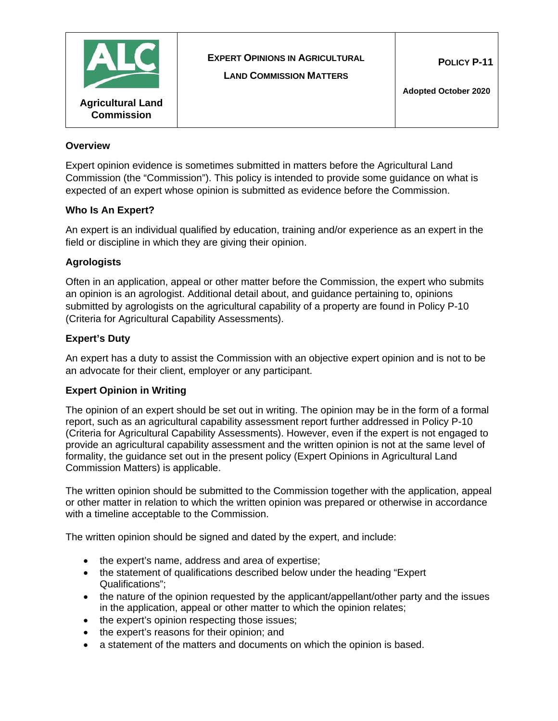|                                               | <b>EXPERT OPINIONS IN AGRICULTURAL</b><br><b>LAND COMMISSION MATTERS</b> | POLICY P-11<br><b>Adopted October 2020</b> |
|-----------------------------------------------|--------------------------------------------------------------------------|--------------------------------------------|
| <b>Agricultural Land</b><br><b>Commission</b> |                                                                          |                                            |

#### **Overview**

Expert opinion evidence is sometimes submitted in matters before the Agricultural Land Commission (the "Commission"). This policy is intended to provide some guidance on what is expected of an expert whose opinion is submitted as evidence before the Commission.

# **Who Is An Expert?**

An expert is an individual qualified by education, training and/or experience as an expert in the field or discipline in which they are giving their opinion.

# **Agrologists**

Often in an application, appeal or other matter before the Commission, the expert who submits an opinion is an agrologist. Additional detail about, and guidance pertaining to, opinions submitted by agrologists on the agricultural capability of a property are found in Policy P-10 (Criteria for Agricultural Capability Assessments).

# **Expert's Duty**

An expert has a duty to assist the Commission with an objective expert opinion and is not to be an advocate for their client, employer or any participant.

### **Expert Opinion in Writing**

The opinion of an expert should be set out in writing. The opinion may be in the form of a formal report, such as an agricultural capability assessment report further addressed in Policy P-10 (Criteria for Agricultural Capability Assessments). However, even if the expert is not engaged to provide an agricultural capability assessment and the written opinion is not at the same level of formality, the guidance set out in the present policy (Expert Opinions in Agricultural Land Commission Matters) is applicable.

The written opinion should be submitted to the Commission together with the application, appeal or other matter in relation to which the written opinion was prepared or otherwise in accordance with a timeline acceptable to the Commission.

The written opinion should be signed and dated by the expert, and include:

- the expert's name, address and area of expertise;
- the statement of qualifications described below under the heading "Expert" Qualifications";
- the nature of the opinion requested by the applicant/appellant/other party and the issues in the application, appeal or other matter to which the opinion relates;
- the expert's opinion respecting those issues;
- the expert's reasons for their opinion; and
- a statement of the matters and documents on which the opinion is based.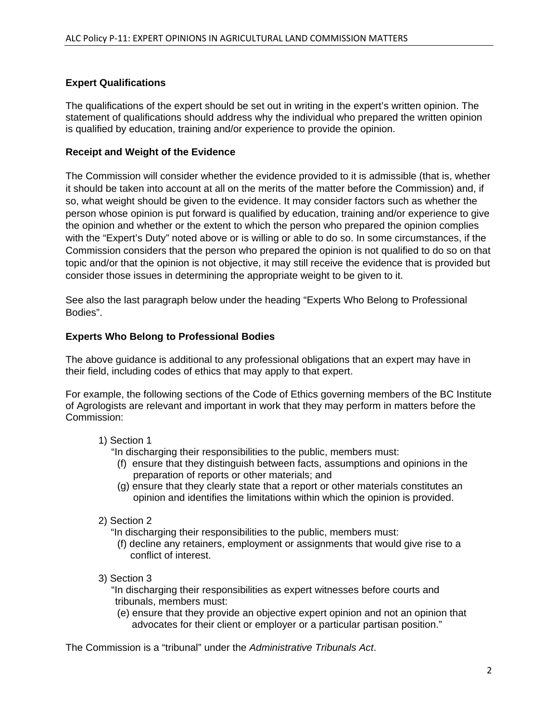### **Expert Qualifications**

The qualifications of the expert should be set out in writing in the expert's written opinion. The statement of qualifications should address why the individual who prepared the written opinion is qualified by education, training and/or experience to provide the opinion.

#### **Receipt and Weight of the Evidence**

The Commission will consider whether the evidence provided to it is admissible (that is, whether it should be taken into account at all on the merits of the matter before the Commission) and, if so, what weight should be given to the evidence. It may consider factors such as whether the person whose opinion is put forward is qualified by education, training and/or experience to give the opinion and whether or the extent to which the person who prepared the opinion complies with the "Expert's Duty" noted above or is willing or able to do so. In some circumstances, if the Commission considers that the person who prepared the opinion is not qualified to do so on that topic and/or that the opinion is not objective, it may still receive the evidence that is provided but consider those issues in determining the appropriate weight to be given to it.

See also the last paragraph below under the heading "Experts Who Belong to Professional Bodies".

#### **Experts Who Belong to Professional Bodies**

The above guidance is additional to any professional obligations that an expert may have in their field, including codes of ethics that may apply to that expert.

For example, the following sections of the Code of Ethics governing members of the BC Institute of Agrologists are relevant and important in work that they may perform in matters before the Commission:

#### 1) Section 1

"In discharging their responsibilities to the public, members must:

- (f) ensure that they distinguish between facts, assumptions and opinions in the preparation of reports or other materials; and
- (g) ensure that they clearly state that a report or other materials constitutes an opinion and identifies the limitations within which the opinion is provided.

#### 2) Section 2

"In discharging their responsibilities to the public, members must:

- (f) decline any retainers, employment or assignments that would give rise to a conflict of interest.
- 3) Section 3

"In discharging their responsibilities as expert witnesses before courts and tribunals, members must:

(e) ensure that they provide an objective expert opinion and not an opinion that advocates for their client or employer or a particular partisan position."

The Commission is a "tribunal" under the *Administrative Tribunals Act*.